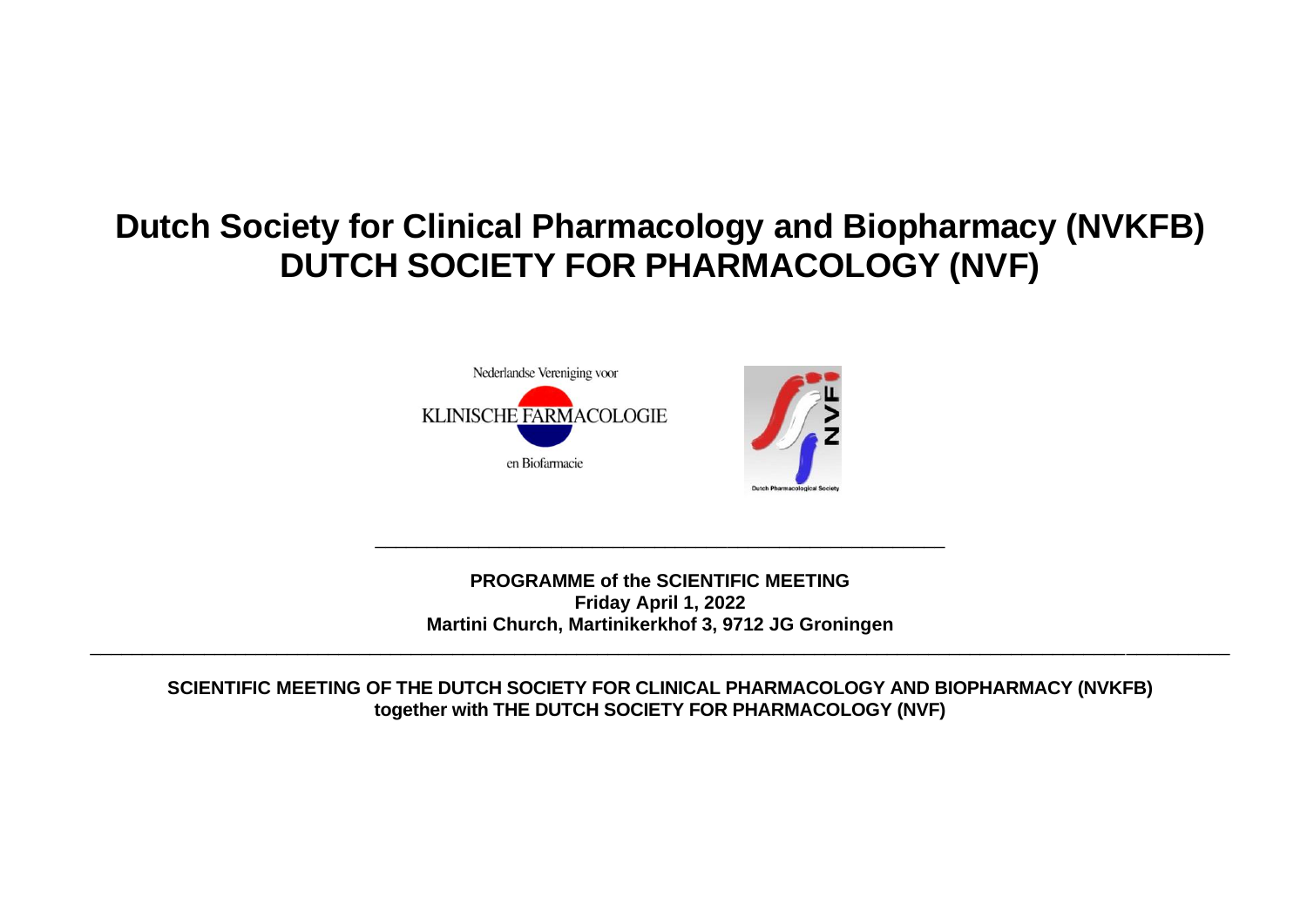## **Dutch Society for Clinical Pharmacology and Biopharmacy (NVKFB) DUTCH SOCIETY FOR PHARMACOLOGY (NVF)**





**PROGRAMME of the SCIENTIFIC MEETING Friday April 1, 2022 Martini Church, Martinikerkhof 3, 9712 JG Groningen** 

\_\_\_\_\_\_\_\_\_\_\_\_\_\_\_\_\_\_\_\_\_\_\_\_\_\_\_\_\_\_\_\_\_\_\_\_\_\_\_\_\_\_\_\_\_\_\_\_\_\_\_\_\_\_\_\_\_\_\_\_\_\_\_\_\_\_\_\_\_\_\_\_\_\_\_\_\_\_\_\_\_\_\_\_\_\_\_\_\_\_\_\_\_\_\_\_\_\_\_\_\_\_\_\_\_\_\_\_\_\_

\_\_\_\_\_\_\_\_\_\_\_\_\_\_\_\_\_\_\_\_\_\_\_\_\_\_\_\_\_\_\_\_\_\_\_\_\_\_\_\_\_\_\_\_\_\_\_\_\_\_\_\_\_\_\_

**SCIENTIFIC MEETING OF THE DUTCH SOCIETY FOR CLINICAL PHARMACOLOGY AND BIOPHARMACY (NVKFB) together with THE DUTCH SOCIETY FOR PHARMACOLOGY (NVF)**